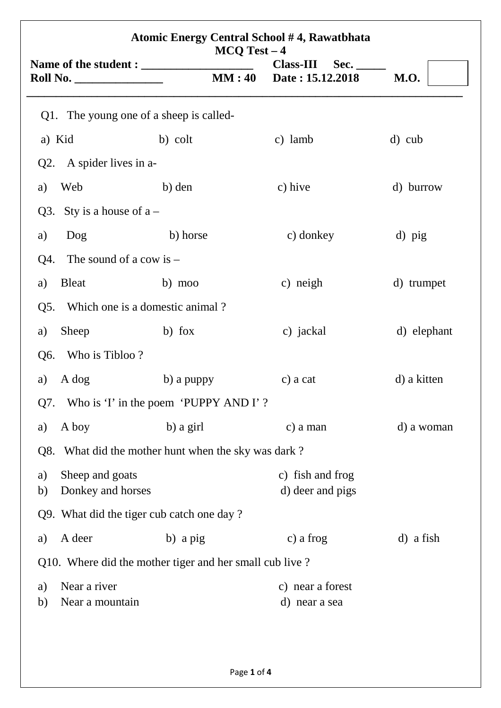| <b>Atomic Energy Central School #4, Rawatbhata</b><br>$MCQ Test - 4$ |                                                         |                                              |             |  |  |
|----------------------------------------------------------------------|---------------------------------------------------------|----------------------------------------------|-------------|--|--|
|                                                                      | MM:40                                                   | <b>Class-III</b><br>Sec.<br>Date: 15.12.2018 | <b>M.O.</b> |  |  |
| Q1. The young one of a sheep is called-                              |                                                         |                                              |             |  |  |
| a) Kid                                                               | b) colt                                                 | c) lamb                                      | d) cub      |  |  |
| A spider lives in a-<br>Q2.                                          |                                                         |                                              |             |  |  |
| Web<br>a)                                                            | b) den                                                  | c) hive                                      | d) burrow   |  |  |
| Sty is a house of $a -$<br>Q3.                                       |                                                         |                                              |             |  |  |
| a)<br>Dog                                                            | b) horse                                                | c) donkey                                    | d) pig      |  |  |
| The sound of a cow is $-$<br>Q4.                                     |                                                         |                                              |             |  |  |
| <b>Bleat</b><br>a)                                                   | b) moo                                                  | c) neigh                                     | d) trumpet  |  |  |
| Q5.                                                                  | Which one is a domestic animal?                         |                                              |             |  |  |
| Sheep<br>a)                                                          | b) fox                                                  | c) jackal                                    | d) elephant |  |  |
| Who is Tibloo?<br>Q6.                                                |                                                         |                                              |             |  |  |
| A dog<br>a)                                                          | b) a puppy                                              | c) a cat                                     | d) a kitten |  |  |
|                                                                      | Q7. Who is 'I' in the poem 'PUPPY AND I'?               |                                              |             |  |  |
| A boy<br>a)                                                          | b) a girl                                               | c) a man                                     | d) a woman  |  |  |
|                                                                      | Q8. What did the mother hunt when the sky was dark?     |                                              |             |  |  |
| Sheep and goats<br>a)<br>Donkey and horses<br>b)                     |                                                         | c) fish and frog<br>d) deer and pigs         |             |  |  |
| Q9. What did the tiger cub catch one day?                            |                                                         |                                              |             |  |  |
| A deer<br>a)                                                         | b) a pig                                                | c) a frog                                    | d) a fish   |  |  |
|                                                                      | Q10. Where did the mother tiger and her small cub live? |                                              |             |  |  |
| Near a river<br>a)<br>Near a mountain<br>b)                          |                                                         | c) near a forest<br>d) near a sea            |             |  |  |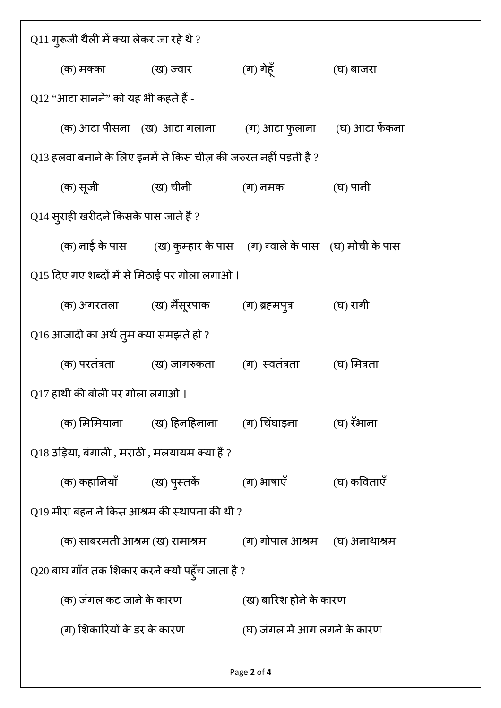| $\operatorname{Q11}$ गुरूजी थैली में क्या लेकर जा रहे थे ? |                                                                                     |                              |                               |  |  |
|------------------------------------------------------------|-------------------------------------------------------------------------------------|------------------------------|-------------------------------|--|--|
| (क) मक्का                                                  | (ख) ज्वार                                                                           | (ग) गेहूँ                    | (घ) बाजरा                     |  |  |
| Q12 ''आटा सानने'' को यह भी कहते हैं -                      |                                                                                     |                              |                               |  |  |
|                                                            | (क) आटा पीसना (ख) आटा गलाना                                                         |                              | (ग) आटा फुलाना (घ) आटा फेंकना |  |  |
|                                                            | $\rm Q13$ हलवा बनाने के लिए इनमें से किस चीज़ की जरुरत नहीं पड़ती है ?              |                              |                               |  |  |
| (क) सूजी                                                   | (ख) चीनी                                                                            | (ग) नमक                      | (घ) पानी                      |  |  |
| $Q$ 14 सुराही खरीदने किसके पास जाते हैं ?                  |                                                                                     |                              |                               |  |  |
|                                                            | (क) नाई के पास          (ख) कुम्हार के पास     (ग) ग्वाले के पास    (घ) मोची के पास |                              |                               |  |  |
| Q15 दिए गए शब्दों में से मिठाई पर गोला लगाओ ।              |                                                                                     |                              |                               |  |  |
|                                                            | (क) अगरतला           (ख) मैंसूरपाक                                                  | (ग) ब्रहमपुत्र               | (घ) रागी                      |  |  |
| $\rm Q16$ आजादी का अर्थ तुम क्या समझते हो ?                |                                                                                     |                              |                               |  |  |
| (क) परतंत्रता                                              | (ख) जागरुकता         (ग)  स्वतंत्रता                                                |                              | (घ) मित्रता                   |  |  |
| Q17 हाथी की बोली पर गोला लगाओ।                             |                                                                                     |                              |                               |  |  |
|                                                            | (क) मिमियाना        (ख) हिनहिनाना       (ग) चिंघाड़ना                               |                              | (घ) रॅभाना                    |  |  |
| $\rm Q18$ उड़िया, बंगाली , मराठी , मलयायम क्या हैं ?       |                                                                                     |                              |                               |  |  |
|                                                            | (क) कहानियाँ           (ख) पुस्तकें                                                 | (ग) भाषाएँ                   | (घ) कविताएँ                   |  |  |
| $\rm Q19$ मीरा बहन ने किस आश्रम की स्थापना की थी ?         |                                                                                     |                              |                               |  |  |
|                                                            | (क) साबरमती आश्रम (ख) रामाश्रम                                                      | (ग) गोपाल आश्रम              | (घ) अनाथाश्रम                 |  |  |
| $\rm Q20$ बाघ गाँव तक शिकार करने क्यों पहूँच जाता है ?     |                                                                                     |                              |                               |  |  |
| (क) जंगल कट जाने के कारण                                   |                                                                                     | (ख) बारिश होने के कारण       |                               |  |  |
|                                                            | (ग) शिकारियों के डर के कारण                                                         | (घ) जंगल में आग लगने के कारण |                               |  |  |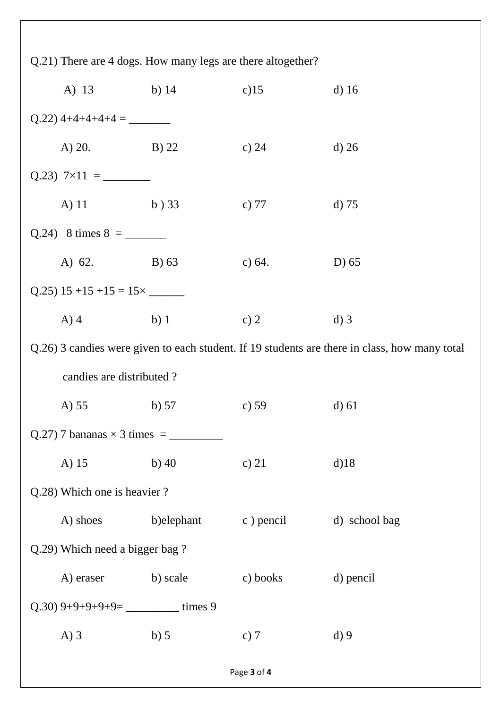| Q.21) There are 4 dogs. How many legs are there altogether?                                   |                                |             |           |               |  |  |
|-----------------------------------------------------------------------------------------------|--------------------------------|-------------|-----------|---------------|--|--|
|                                                                                               | A) 13 b) 14                    |             | $c)$ 15   | $d)$ 16       |  |  |
|                                                                                               |                                |             |           |               |  |  |
|                                                                                               | A) 20. B) 22                   |             | c) $24$   | $d)$ 26       |  |  |
|                                                                                               |                                |             |           |               |  |  |
|                                                                                               | A) 11 b) 33                    |             | c) $77$   | d) 75         |  |  |
|                                                                                               |                                |             |           |               |  |  |
|                                                                                               | A) 62. B) 63                   |             | c) $64.$  | D $(65)$      |  |  |
|                                                                                               |                                |             |           |               |  |  |
|                                                                                               | A) 4 b) 1                      |             | c) $2$    | $d)$ 3        |  |  |
| Q.26) 3 candies were given to each student. If 19 students are there in class, how many total |                                |             |           |               |  |  |
|                                                                                               | candies are distributed?       |             |           |               |  |  |
|                                                                                               |                                |             |           |               |  |  |
|                                                                                               | A) $55$                        | b) $57$     | c) $59$   | $d$ ) 61      |  |  |
|                                                                                               |                                |             |           |               |  |  |
|                                                                                               | A) 15                          | b) $40$     | c) $21$   | $d$ )18       |  |  |
|                                                                                               | Q.28) Which one is heavier?    |             |           |               |  |  |
|                                                                                               | A) shoes                       | b) elephant | c) pencil | d) school bag |  |  |
|                                                                                               | Q.29) Which need a bigger bag? |             |           |               |  |  |
|                                                                                               | A) eraser                      | b) scale    | c) books  | d) pencil     |  |  |
|                                                                                               |                                |             |           |               |  |  |